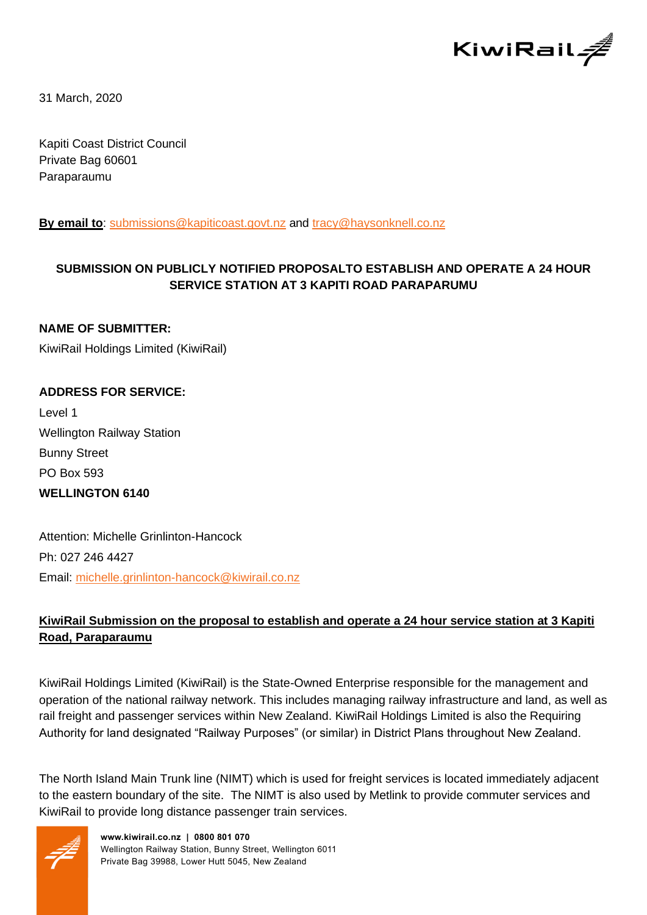

31 March, 2020

Kapiti Coast District Council Private Bag 60601 Paraparaumu

**By email to**: [submissions@kapiticoast.govt.nz](mailto:submissions@kapiticoast.govt.nz) and [tracy@haysonknell.co.nz](mailto:tracy@haysonknell.co.nz)

## **SUBMISSION ON PUBLICLY NOTIFIED PROPOSALTO ESTABLISH AND OPERATE A 24 HOUR SERVICE STATION AT 3 KAPITI ROAD PARAPARUMU**

**NAME OF SUBMITTER:** KiwiRail Holdings Limited (KiwiRail)

# **ADDRESS FOR SERVICE:**

Level 1 Wellington Railway Station Bunny Street PO Box 593 **WELLINGTON 6140**

Attention: Michelle Grinlinton-Hancock Ph: 027 246 4427 Email: [michelle.grinlinton-hancock@kiwirail.co.nz](mailto:michelle.grinlinton-hancock@kiwirail.co.nz)

## **KiwiRail Submission on the proposal to establish and operate a 24 hour service station at 3 Kapiti Road, Paraparaumu**

KiwiRail Holdings Limited (KiwiRail) is the State-Owned Enterprise responsible for the management and operation of the national railway network. This includes managing railway infrastructure and land, as well as rail freight and passenger services within New Zealand. KiwiRail Holdings Limited is also the Requiring Authority for land designated "Railway Purposes" (or similar) in District Plans throughout New Zealand.

The North Island Main Trunk line (NIMT) which is used for freight services is located immediately adjacent to the eastern boundary of the site. The NIMT is also used by Metlink to provide commuter services and KiwiRail to provide long distance passenger train services.

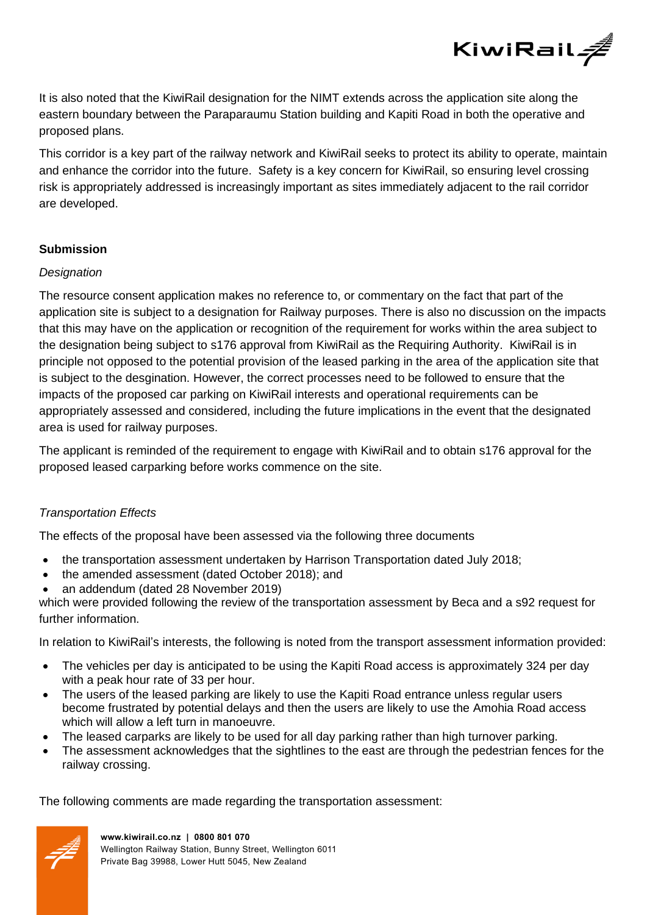

It is also noted that the KiwiRail designation for the NIMT extends across the application site along the eastern boundary between the Paraparaumu Station building and Kapiti Road in both the operative and proposed plans.

This corridor is a key part of the railway network and KiwiRail seeks to protect its ability to operate, maintain and enhance the corridor into the future. Safety is a key concern for KiwiRail, so ensuring level crossing risk is appropriately addressed is increasingly important as sites immediately adjacent to the rail corridor are developed.

### **Submission**

#### *Designation*

The resource consent application makes no reference to, or commentary on the fact that part of the application site is subject to a designation for Railway purposes. There is also no discussion on the impacts that this may have on the application or recognition of the requirement for works within the area subject to the designation being subject to s176 approval from KiwiRail as the Requiring Authority. KiwiRail is in principle not opposed to the potential provision of the leased parking in the area of the application site that is subject to the desgination. However, the correct processes need to be followed to ensure that the impacts of the proposed car parking on KiwiRail interests and operational requirements can be appropriately assessed and considered, including the future implications in the event that the designated area is used for railway purposes.

The applicant is reminded of the requirement to engage with KiwiRail and to obtain s176 approval for the proposed leased carparking before works commence on the site.

### *Transportation Effects*

The effects of the proposal have been assessed via the following three documents

- the transportation assessment undertaken by Harrison Transportation dated July 2018;
- the amended assessment (dated October 2018); and
- an addendum (dated 28 November 2019)

which were provided following the review of the transportation assessment by Beca and a s92 request for further information.

In relation to KiwiRail's interests, the following is noted from the transport assessment information provided:

- The vehicles per day is anticipated to be using the Kapiti Road access is approximately 324 per day with a peak hour rate of 33 per hour.
- The users of the leased parking are likely to use the Kapiti Road entrance unless regular users become frustrated by potential delays and then the users are likely to use the Amohia Road access which will allow a left turn in manoeuvre.
- The leased carparks are likely to be used for all day parking rather than high turnover parking.
- The assessment acknowledges that the sightlines to the east are through the pedestrian fences for the railway crossing.

The following comments are made regarding the transportation assessment:

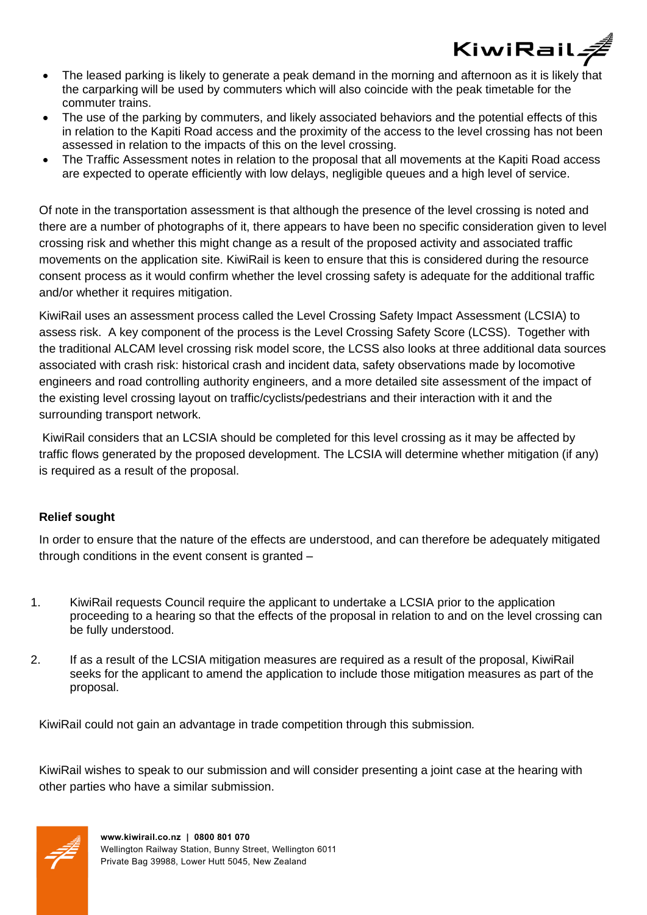

- The leased parking is likely to generate a peak demand in the morning and afternoon as it is likely that the carparking will be used by commuters which will also coincide with the peak timetable for the commuter trains.
- The use of the parking by commuters, and likely associated behaviors and the potential effects of this in relation to the Kapiti Road access and the proximity of the access to the level crossing has not been assessed in relation to the impacts of this on the level crossing.
- The Traffic Assessment notes in relation to the proposal that all movements at the Kapiti Road access are expected to operate efficiently with low delays, negligible queues and a high level of service.

Of note in the transportation assessment is that although the presence of the level crossing is noted and there are a number of photographs of it, there appears to have been no specific consideration given to level crossing risk and whether this might change as a result of the proposed activity and associated traffic movements on the application site. KiwiRail is keen to ensure that this is considered during the resource consent process as it would confirm whether the level crossing safety is adequate for the additional traffic and/or whether it requires mitigation.

KiwiRail uses an assessment process called the Level Crossing Safety Impact Assessment (LCSIA) to assess risk. A key component of the process is the Level Crossing Safety Score (LCSS). Together with the traditional ALCAM level crossing risk model score, the LCSS also looks at three additional data sources associated with crash risk: historical crash and incident data, safety observations made by locomotive engineers and road controlling authority engineers, and a more detailed site assessment of the impact of the existing level crossing layout on traffic/cyclists/pedestrians and their interaction with it and the surrounding transport network.

KiwiRail considers that an LCSIA should be completed for this level crossing as it may be affected by traffic flows generated by the proposed development. The LCSIA will determine whether mitigation (if any) is required as a result of the proposal.

### **Relief sought**

In order to ensure that the nature of the effects are understood, and can therefore be adequately mitigated through conditions in the event consent is granted –

- 1. KiwiRail requests Council require the applicant to undertake a LCSIA prior to the application proceeding to a hearing so that the effects of the proposal in relation to and on the level crossing can be fully understood.
- 2. If as a result of the LCSIA mitigation measures are required as a result of the proposal, KiwiRail seeks for the applicant to amend the application to include those mitigation measures as part of the proposal.

KiwiRail could not gain an advantage in trade competition through this submission*.*

KiwiRail wishes to speak to our submission and will consider presenting a joint case at the hearing with other parties who have a similar submission.